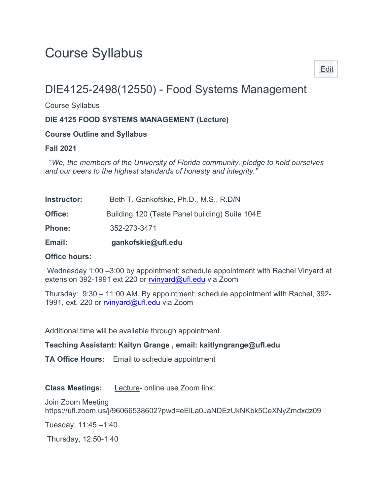# Course Syllabus

# DIE4125-2498(12550) - Food Systems Management

Course Syllabus

#### DIE 4125 FOOD SYSTEMS MANAGEMENT (Lecture)

#### Course Outline and Syllabus

#### Fall 2021

 "We, the members of the University of Florida community, pledge to hold ourselves and our peers to the highest standards of honesty and integrity."

| Email:             | gankofskie@ufl.edu                             |
|--------------------|------------------------------------------------|
| <b>Phone:</b>      | 352-273-3471                                   |
| Office:            | Building 120 (Taste Panel building) Suite 104E |
| <b>Instructor:</b> | Beth T. Gankofskie, Ph.D., M.S., R.D/N         |

#### Office hours:

 Wednesday 1:00 –3:00 by appointment; schedule appointment with Rachel Vinyard at extension 392-1991 ext 220 or rvinyard@ufl.edu via Zoom

Thursday: 9:30 – 11:00 AM. By appointment; schedule appointment with Rachel, 392- 1991, ext. 220 or rvinyard@ufl.edu via Zoom

Additional time will be available through appointment.

Teaching Assistant: Kaityn Grange , email: kaitlyngrange@ufl.edu

TA Office Hours: Email to schedule appointment

Class Meetings: Lecture- online use Zoom link:

Join Zoom Meeting https://ufl.zoom.us/j/96066538602?pwd=eElLa0JaNDEzUkNKbk5CeXNyZmdxdz09

Tuesday, 11:45 –1:40

Thursday, 12:50-1:40

Edit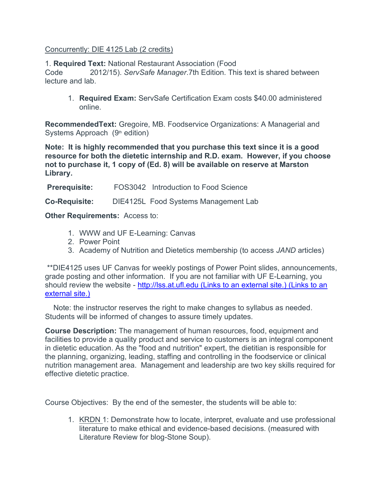#### Concurrently: DIE 4125 Lab (2 credits)

### 1. Required Text: National Restaurant Association (Food

Code 2012/15). ServSafe Manager.7th Edition. This text is shared between lecture and lab.

1. Required Exam: ServSafe Certification Exam costs \$40.00 administered online.

RecommendedText: Gregoire, MB. Foodservice Organizations: A Managerial and Systems Approach  $(9<sup>th</sup>$  edition)

Note: It is highly recommended that you purchase this text since it is a good resource for both the dietetic internship and R.D. exam. However, if you choose not to purchase it, 1 copy of (Ed. 8) will be available on reserve at Marston Library.

**Prerequisite:** FOS3042 Introduction to Food Science

Co-Requisite: DIE4125L Food Systems Management Lab

**Other Requirements: Access to:** 

- 1. WWW and UF E-Learning: Canvas
- 2. Power Point
- 3. Academy of Nutrition and Dietetics membership (to access JAND articles)

 \*\*DIE4125 uses UF Canvas for weekly postings of Power Point slides, announcements, grade posting and other information. If you are not familiar with UF E-Learning, you should review the website - http://lss.at.ufl.edu (Links to an external site.) (Links to an external site.)

 Note: the instructor reserves the right to make changes to syllabus as needed. Students will be informed of changes to assure timely updates.

Course Description: The management of human resources, food, equipment and facilities to provide a quality product and service to customers is an integral component in dietetic education. As the "food and nutrition" expert, the dietitian is responsible for the planning, organizing, leading, staffing and controlling in the foodservice or clinical nutrition management area. Management and leadership are two key skills required for effective dietetic practice.

Course Objectives: By the end of the semester, the students will be able to:

1. KRDN 1: Demonstrate how to locate, interpret, evaluate and use professional literature to make ethical and evidence-based decisions. (measured with Literature Review for blog-Stone Soup).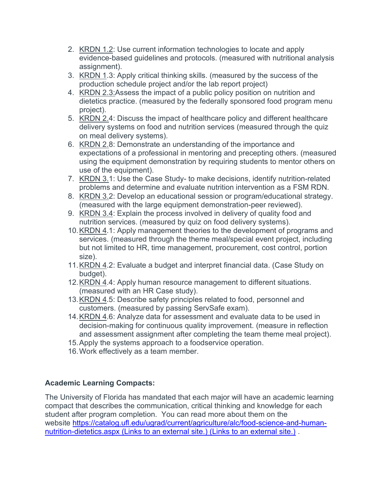- 2. KRDN 1.2: Use current information technologies to locate and apply evidence-based guidelines and protocols. (measured with nutritional analysis assignment).
- 3. KRDN 1.3: Apply critical thinking skills. (measured by the success of the production schedule project and/or the lab report project)
- 4. KRDN 2.3:Assess the impact of a public policy position on nutrition and dietetics practice. (measured by the federally sponsored food program menu project).
- 5. KRDN 2.4: Discuss the impact of healthcare policy and different healthcare delivery systems on food and nutrition services (measured through the quiz on meal delivery systems).
- 6. KRDN 2.8: Demonstrate an understanding of the importance and expectations of a professional in mentoring and precepting others. (measured using the equipment demonstration by requiring students to mentor others on use of the equipment).
- 7. KRDN 3.1: Use the Case Study- to make decisions, identify nutrition-related problems and determine and evaluate nutrition intervention as a FSM RDN.
- 8. KRDN 3.2: Develop an educational session or program/educational strategy. (measured with the large equipment demonstration-peer reviewed).
- 9. KRDN 3.4: Explain the process involved in delivery of quality food and nutrition services. (measured by quiz on food delivery systems).
- 10. KRDN 4.1: Apply management theories to the development of programs and services. (measured through the theme meal/special event project, including but not limited to HR, time management, procurement, cost control, portion size).
- 11. KRDN 4.2: Evaluate a budget and interpret financial data. (Case Study on budget).
- 12. KRDN 4.4: Apply human resource management to different situations. (measured with an HR Case study).
- 13. KRDN 4.5: Describe safety principles related to food, personnel and customers. (measured by passing ServSafe exam).
- 14. KRDN 4.6: Analyze data for assessment and evaluate data to be used in decision-making for continuous quality improvement. (measure in reflection and assessment assignment after completing the team theme meal project).
- 15. Apply the systems approach to a foodservice operation.
- 16. Work effectively as a team member.

# Academic Learning Compacts:

The University of Florida has mandated that each major will have an academic learning compact that describes the communication, critical thinking and knowledge for each student after program completion. You can read more about them on the website https://catalog.ufl.edu/ugrad/current/agriculture/alc/food-science-and-humannutrition-dietetics.aspx (Links to an external site.) (Links to an external site.) .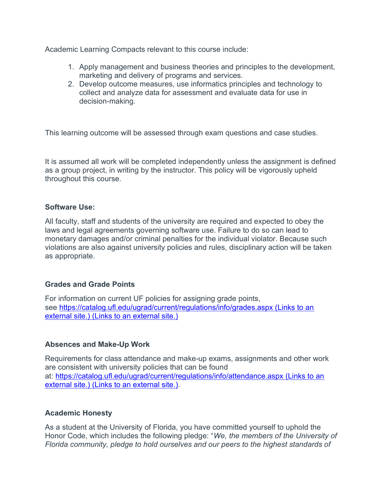Academic Learning Compacts relevant to this course include:

- 1. Apply management and business theories and principles to the development, marketing and delivery of programs and services.
- 2. Develop outcome measures, use informatics principles and technology to collect and analyze data for assessment and evaluate data for use in decision-making.

This learning outcome will be assessed through exam questions and case studies.

It is assumed all work will be completed independently unless the assignment is defined as a group project, in writing by the instructor. This policy will be vigorously upheld throughout this course.

#### Software Use:

All faculty, staff and students of the university are required and expected to obey the laws and legal agreements governing software use. Failure to do so can lead to monetary damages and/or criminal penalties for the individual violator. Because such violations are also against university policies and rules, disciplinary action will be taken as appropriate.

#### Grades and Grade Points

For information on current UF policies for assigning grade points, see https://catalog.ufl.edu/ugrad/current/regulations/info/grades.aspx (Links to an external site.) (Links to an external site.)

#### Absences and Make-Up Work

Requirements for class attendance and make-up exams, assignments and other work are consistent with university policies that can be found at: https://catalog.ufl.edu/ugrad/current/regulations/info/attendance.aspx (Links to an external site.) (Links to an external site.).

#### Academic Honesty

As a student at the University of Florida, you have committed yourself to uphold the Honor Code, which includes the following pledge: "We, the members of the University of Florida community, pledge to hold ourselves and our peers to the highest standards of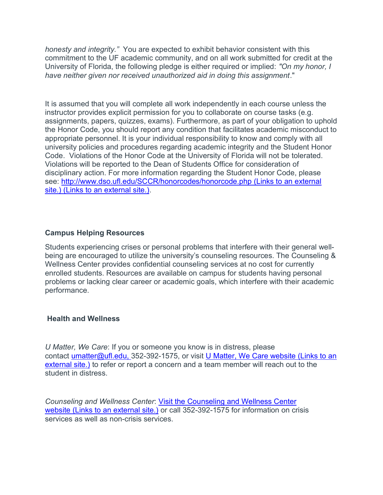honesty and integrity." You are expected to exhibit behavior consistent with this commitment to the UF academic community, and on all work submitted for credit at the University of Florida, the following pledge is either required or implied: "On my honor, I have neither given nor received unauthorized aid in doing this assignment."

It is assumed that you will complete all work independently in each course unless the instructor provides explicit permission for you to collaborate on course tasks (e.g. assignments, papers, quizzes, exams). Furthermore, as part of your obligation to uphold the Honor Code, you should report any condition that facilitates academic misconduct to appropriate personnel. It is your individual responsibility to know and comply with all university policies and procedures regarding academic integrity and the Student Honor Code. Violations of the Honor Code at the University of Florida will not be tolerated. Violations will be reported to the Dean of Students Office for consideration of disciplinary action. For more information regarding the Student Honor Code, please see: http://www.dso.ufl.edu/SCCR/honorcodes/honorcode.php (Links to an external site.) (Links to an external site.).

#### Campus Helping Resources

Students experiencing crises or personal problems that interfere with their general wellbeing are encouraged to utilize the university's counseling resources. The Counseling & Wellness Center provides confidential counseling services at no cost for currently enrolled students. Resources are available on campus for students having personal problems or lacking clear career or academic goals, which interfere with their academic performance.

#### Health and Wellness

U Matter, We Care: If you or someone you know is in distress, please contact umatter@ufl.edu, 352-392-1575, or visit U Matter, We Care website (Links to an external site.) to refer or report a concern and a team member will reach out to the student in distress.

Counseling and Wellness Center: Visit the Counseling and Wellness Center website (Links to an external site.) or call 352-392-1575 for information on crisis services as well as non-crisis services.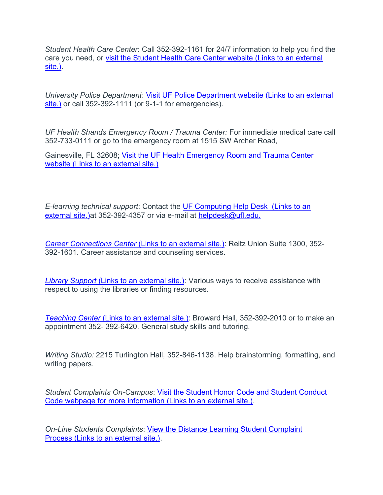Student Health Care Center: Call 352-392-1161 for 24/7 information to help you find the care you need, or visit the Student Health Care Center website (Links to an external site.).

University Police Department: Visit UF Police Department website (Links to an external site.) or call 352-392-1111 (or 9-1-1 for emergencies).

UF Health Shands Emergency Room / Trauma Center: For immediate medical care call 352-733-0111 or go to the emergency room at 1515 SW Archer Road,

Gainesville, FL 32608; Visit the UF Health Emergency Room and Trauma Center website (Links to an external site.)

E-learning technical support: Contact the UF Computing Help Desk (Links to an external site.) at 352-392-4357 or via e-mail at helpdesk@ufl.edu.

Career Connections Center (Links to an external site.): Reitz Union Suite 1300, 352- 392-1601. Career assistance and counseling services.

Library Support (Links to an external site.): Various ways to receive assistance with respect to using the libraries or finding resources.

Teaching Center (Links to an external site.): Broward Hall, 352-392-2010 or to make an appointment 352- 392-6420. General study skills and tutoring.

Writing Studio: 2215 Turlington Hall, 352-846-1138. Help brainstorming, formatting, and writing papers.

Student Complaints On-Campus: Visit the Student Honor Code and Student Conduct Code webpage for more information (Links to an external site.).

On-Line Students Complaints: View the Distance Learning Student Complaint Process (Links to an external site.).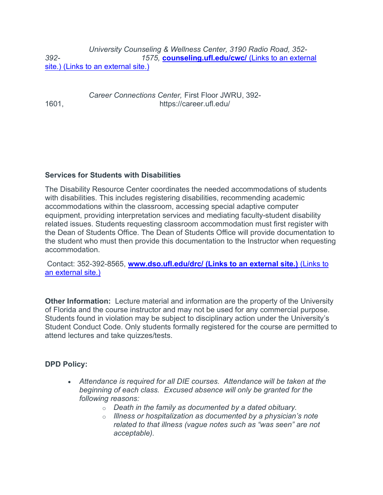University Counseling & Wellness Center, 3190 Radio Road, 352- 392- 1575, counseling.ufl.edu/cwc/ (Links to an external site.) (Links to an external site.)

 Career Connections Center, First Floor JWRU, 392- 1601, https://career.ufl.edu/

#### Services for Students with Disabilities

The Disability Resource Center coordinates the needed accommodations of students with disabilities. This includes registering disabilities, recommending academic accommodations within the classroom, accessing special adaptive computer equipment, providing interpretation services and mediating faculty-student disability related issues. Students requesting classroom accommodation must first register with the Dean of Students Office. The Dean of Students Office will provide documentation to the student who must then provide this documentation to the Instructor when requesting accommodation.

Contact: 352-392-8565, www.dso.ufl.edu/drc/ (Links to an external site.) (Links to an external site.)

Other Information: Lecture material and information are the property of the University of Florida and the course instructor and may not be used for any commercial purpose. Students found in violation may be subject to disciplinary action under the University's Student Conduct Code. Only students formally registered for the course are permitted to attend lectures and take quizzes/tests.

#### DPD Policy:

- Attendance is required for all DIE courses. Attendance will be taken at the beginning of each class. Excused absence will only be granted for the following reasons:
	- $\circ$  Death in the family as documented by a dated obituary.
	- $\circ$  Illness or hospitalization as documented by a physician's note related to that illness (vague notes such as "was seen" are not acceptable).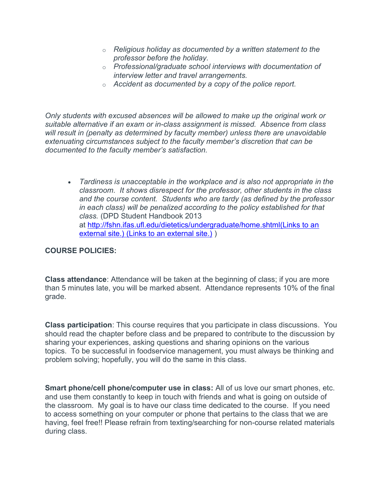- $\circ$  Religious holiday as documented by a written statement to the professor before the holiday.
- o Professional/graduate school interviews with documentation of interview letter and travel arrangements.
- $\circ$  Accident as documented by a copy of the police report.

Only students with excused absences will be allowed to make up the original work or suitable alternative if an exam or in-class assignment is missed. Absence from class will result in (penalty as determined by faculty member) unless there are unavoidable extenuating circumstances subject to the faculty member's discretion that can be documented to the faculty member's satisfaction.

 Tardiness is unacceptable in the workplace and is also not appropriate in the classroom. It shows disrespect for the professor, other students in the class and the course content. Students who are tardy (as defined by the professor in each class) will be penalized according to the policy established for that class. (DPD Student Handbook 2013 at http://fshn.ifas.ufl.edu/dietetics/undergraduate/home.shtml(Links to an external site.) (Links to an external site.) )

## COURSE POLICIES:

Class attendance: Attendance will be taken at the beginning of class; if you are more than 5 minutes late, you will be marked absent. Attendance represents 10% of the final grade.

Class participation: This course requires that you participate in class discussions. You should read the chapter before class and be prepared to contribute to the discussion by sharing your experiences, asking questions and sharing opinions on the various topics. To be successful in foodservice management, you must always be thinking and problem solving; hopefully, you will do the same in this class.

Smart phone/cell phone/computer use in class: All of us love our smart phones, etc. and use them constantly to keep in touch with friends and what is going on outside of the classroom. My goal is to have our class time dedicated to the course. If you need to access something on your computer or phone that pertains to the class that we are having, feel free!! Please refrain from texting/searching for non-course related materials during class.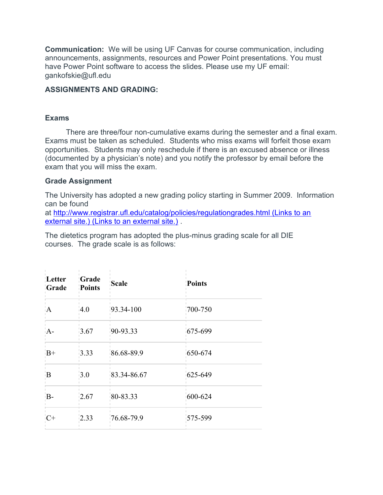Communication: We will be using UF Canvas for course communication, including announcements, assignments, resources and Power Point presentations. You must have Power Point software to access the slides. Please use my UF email: gankofskie@ufl.edu

#### ASSIGNMENTS AND GRADING:

#### Exams

 There are three/four non-cumulative exams during the semester and a final exam. Exams must be taken as scheduled. Students who miss exams will forfeit those exam opportunities. Students may only reschedule if there is an excused absence or illness (documented by a physician's note) and you notify the professor by email before the exam that you will miss the exam.

#### Grade Assignment

The University has adopted a new grading policy starting in Summer 2009. Information can be found

at http://www.registrar.ufl.edu/catalog/policies/regulationgrades.html (Links to an external site.) (Links to an external site.) .

The dietetics program has adopted the plus-minus grading scale for all DIE courses. The grade scale is as follows:

| Letter<br>Grade | Grade<br>Points  | <b>Scale</b>   | Points      |
|-----------------|------------------|----------------|-------------|
| 'A              | 4.0              | $93.34 - 100$  | $700 - 750$ |
| $A-$            | 3.67             | $90-93.33$     | 675-699     |
| $B+$            | 3.33             | 86.68-89.9     | 650-674     |
| $\overline{B}$  | $\overline{3.0}$ | 83.34-86.67    | 625-649     |
| B-              | 2.67             | 80-83.33       | 600-624     |
| $C+$            | 2.33             | $76.68 - 79.9$ | 575-599     |